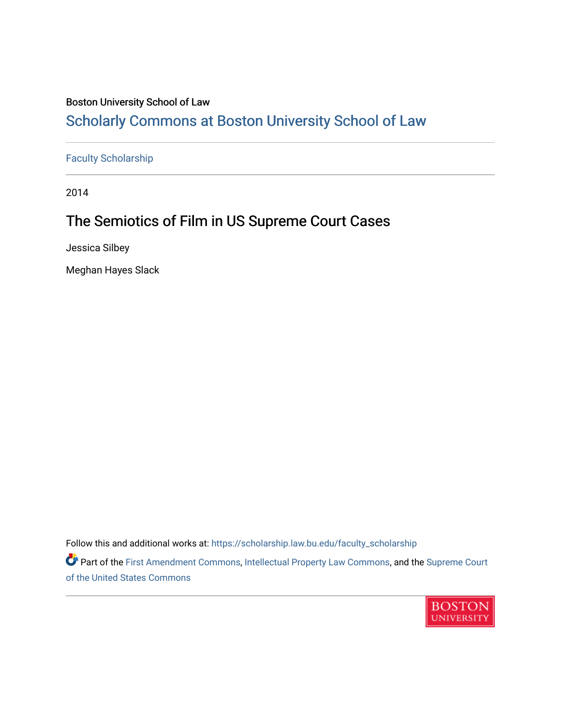## Boston University School of Law

# [Scholarly Commons at Boston University School of Law](https://scholarship.law.bu.edu/)

## [Faculty Scholarship](https://scholarship.law.bu.edu/faculty_scholarship)

2014

# The Semiotics of Film in US Supreme Court Cases

Jessica Silbey

Meghan Hayes Slack

Follow this and additional works at: [https://scholarship.law.bu.edu/faculty\\_scholarship](https://scholarship.law.bu.edu/faculty_scholarship?utm_source=scholarship.law.bu.edu%2Ffaculty_scholarship%2F1374&utm_medium=PDF&utm_campaign=PDFCoverPages)

Part of the [First Amendment Commons,](http://network.bepress.com/hgg/discipline/1115?utm_source=scholarship.law.bu.edu%2Ffaculty_scholarship%2F1374&utm_medium=PDF&utm_campaign=PDFCoverPages) [Intellectual Property Law Commons,](http://network.bepress.com/hgg/discipline/896?utm_source=scholarship.law.bu.edu%2Ffaculty_scholarship%2F1374&utm_medium=PDF&utm_campaign=PDFCoverPages) and the Supreme Court [of the United States Commons](http://network.bepress.com/hgg/discipline/1350?utm_source=scholarship.law.bu.edu%2Ffaculty_scholarship%2F1374&utm_medium=PDF&utm_campaign=PDFCoverPages)

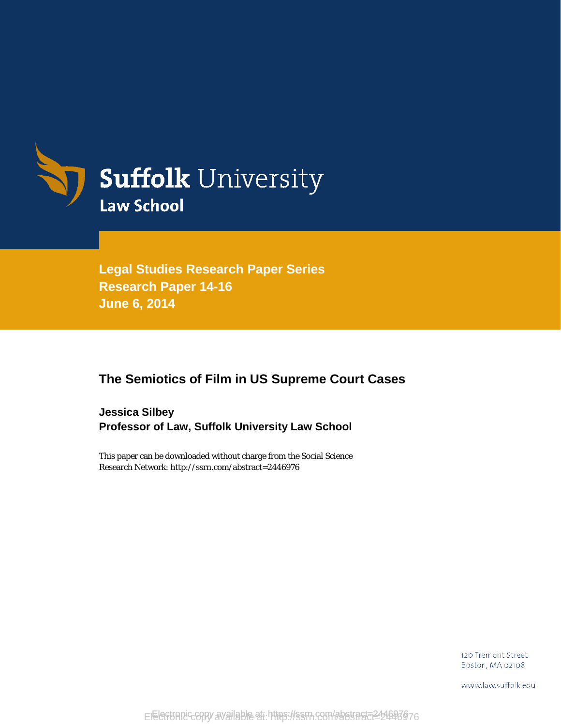

**Legal Studies Research Paper Series Research Paper 14-16 June 6, 2014**

## **The Semiotics of Film in US Supreme Court Cases**

**Jessica Silbey Professor of Law, Suffolk University Law School**

This paper can be downloaded without charge from the Social Science Research Network: http://ssrn.com/abstract=2446976

> 120 Tremont Street Boston, MA 02108

www.law.suffolk.edu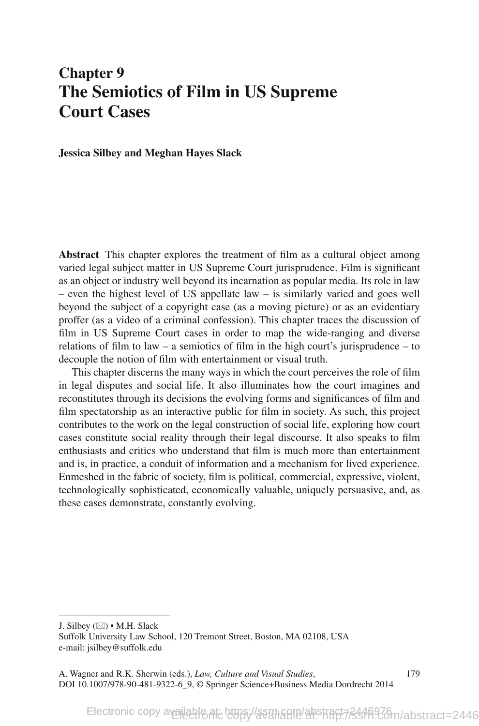## **Chapter 9 The Semiotics of Film in US Supreme Court Cases**

 **Jessica Silbey and Meghan Hayes Slack** 

**Abstract** This chapter explores the treatment of film as a cultural object among varied legal subject matter in US Supreme Court jurisprudence. Film is significant as an object or industry well beyond its incarnation as popular media. Its role in law – even the highest level of US appellate law – is similarly varied and goes well beyond the subject of a copyright case (as a moving picture) or as an evidentiary proffer (as a video of a criminal confession). This chapter traces the discussion of film in US Supreme Court cases in order to map the wide-ranging and diverse relations of film to law – a semiotics of film in the high court's jurisprudence – to decouple the notion of film with entertainment or visual truth.

This chapter discerns the many ways in which the court perceives the role of film in legal disputes and social life. It also illuminates how the court imagines and reconstitutes through its decisions the evolving forms and significances of film and film spectatorship as an interactive public for film in society. As such, this project contributes to the work on the legal construction of social life, exploring how court cases constitute social reality through their legal discourse. It also speaks to film enthusiasts and critics who understand that film is much more than entertainment and is, in practice, a conduit of information and a mechanism for lived experience. Enmeshed in the fabric of society, film is political, commercial, expressive, violent, technologically sophisticated, economically valuable, uniquely persuasive, and, as these cases demonstrate, constantly evolving.

J. Silbey  $(\boxtimes) \cdot M.H.$  Slack

Suffolk University Law School, 120 Tremont Street, Boston, MA 02108, USA e-mail: jsilbey@suffolk.edu

A. Wagner and R.K. Sherwin (eds.), *Law, Culture and Visual Studies*, 179 DOI 10.1007/978-90-481-9322-6\_9, © Springer Science+Business Media Dordrecht 201 4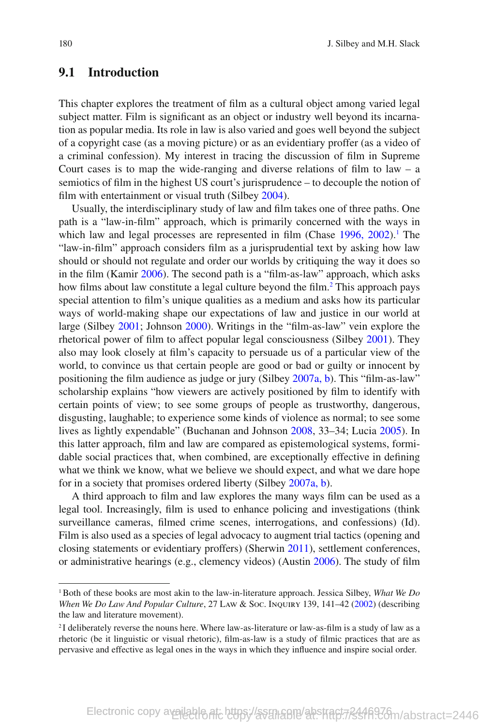#### **9.1 Introduction**

This chapter explores the treatment of film as a cultural object among varied legal subject matter. Film is significant as an object or industry well beyond its incarnation as popular media. Its role in law is also varied and goes well beyond the subject of a copyright case (as a moving picture) or as an evidentiary proffer (as a video of a criminal confession). My interest in tracing the discussion of film in Supreme Court cases is to map the wide-ranging and diverse relations of film to  $law - a$ semiotics of film in the highest US court's jurisprudence  $-$  to decouple the notion of film with entertainment or visual truth (Silbey  $2004$ ).

Usually, the interdisciplinary study of law and film takes one of three paths. One path is a "law-in-film" approach, which is primarily concerned with the ways in which law and legal processes are represented in film (Chase  $1996, 2002$ ).<sup>1</sup> The "law-in-film" approach considers film as a jurisprudential text by asking how law should or should not regulate and order our worlds by critiquing the way it does so in the film (Kamir  $2006$ ). The second path is a "film-as-law" approach, which asks how films about law constitute a legal culture beyond the film.<sup>2</sup> This approach pays special attention to film's unique qualities as a medium and asks how its particular ways of world-making shape our expectations of law and justice in our world at large (Silbey 2001; Johnson [2000](#page-25-0)). Writings in the "film-as-law" vein explore the rhetorical power of film to affect popular legal consciousness (Silbey [2001](#page-26-0)). They also may look closely at film's capacity to persuade us of a particular view of the world, to convince us that certain people are good or bad or guilty or innocent by positioning the film audience as judge or jury (Silbey 2007a, b). This "film-as-law" scholarship explains "how viewers are actively positioned by film to identify with certain points of view; to see some groups of people as trustworthy, dangerous, disgusting, laughable; to experience some kinds of violence as normal; to see some lives as lightly expendable" (Buchanan and Johnson 2008, 33–34; Lucia 2005). In this latter approach, film and law are compared as epistemological systems, formidable social practices that, when combined, are exceptionally effective in defining what we think we know, what we believe we should expect, and what we dare hope for in a society that promises ordered liberty (Silbey 2007a, b).

A third approach to film and law explores the many ways film can be used as a legal tool. Increasingly, film is used to enhance policing and investigations (think surveillance cameras, filmed crime scenes, interrogations, and confessions) (Id). Film is also used as a species of legal advocacy to augment trial tactics (opening and closing statements or evidentiary proffers) (Sherwin [2011 \)](#page-26-0) , settlement conferences, or administrative hearings (e.g., clemency videos) (Austin 2006). The study of film

 <sup>1</sup> Both of these books are most akin to the law-in-literature approach. Jessica Silbey, *What We Do When We Do Law And Popular Culture*, 27 LAW & Soc. INQUIRY 139, 141–42 (2002) (describing the law and literature movement).

<sup>&</sup>lt;sup>2</sup>I deliberately reverse the nouns here. Where law-as-literature or law-as-film is a study of law as a rhetoric (be it linguistic or visual rhetoric), film-as-law is a study of filmic practices that are as pervasive and effective as legal ones in the ways in which they influence and inspire social order.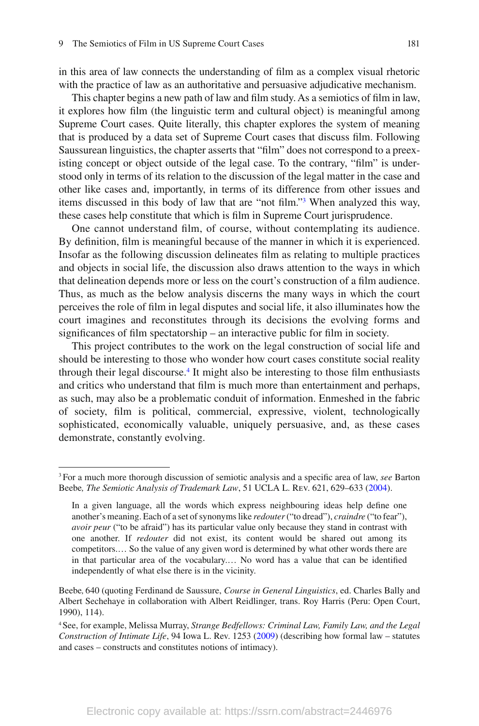in this area of law connects the understanding of film as a complex visual rhetoric with the practice of law as an authoritative and persuasive adjudicative mechanism.

This chapter begins a new path of law and film study. As a semiotics of film in law, it explores how film (the linguistic term and cultural object) is meaningful among Supreme Court cases. Quite literally, this chapter explores the system of meaning that is produced by a data set of Supreme Court cases that discuss film. Following Saussurean linguistics, the chapter asserts that "film" does not correspond to a preexisting concept or object outside of the legal case. To the contrary, "film" is understood only in terms of its relation to the discussion of the legal matter in the case and other like cases and, importantly, in terms of its difference from other issues and items discussed in this body of law that are "not film."<sup>3</sup> When analyzed this way, these cases help constitute that which is film in Supreme Court jurisprudence.

One cannot understand film, of course, without contemplating its audience. By definition, film is meaningful because of the manner in which it is experienced. Insofar as the following discussion delineates film as relating to multiple practices and objects in social life, the discussion also draws attention to the ways in which that delineation depends more or less on the court's construction of a film audience. Thus, as much as the below analysis discerns the many ways in which the court perceives the role of film in legal disputes and social life, it also illuminates how the court imagines and reconstitutes through its decisions the evolving forms and significances of film spectatorship – an interactive public for film in society.

 This project contributes to the work on the legal construction of social life and should be interesting to those who wonder how court cases constitute social reality through their legal discourse.<sup>4</sup> It might also be interesting to those film enthusiasts and critics who understand that film is much more than entertainment and perhaps, as such, may also be a problematic conduit of information. Enmeshed in the fabric of society, film is political, commercial, expressive, violent, technologically sophisticated, economically valuable, uniquely persuasive, and, as these cases demonstrate, constantly evolving.

<sup>&</sup>lt;sup>3</sup> For a much more thorough discussion of semiotic analysis and a specific area of law, *see* Barton Beebe, *The Semiotic Analysis of Trademark Law*, 51 UCLA L. REV. 621, 629-633 (2004).

In a given language, all the words which express neighbouring ideas help define one another's meaning. Each of a set of synonyms like *redouter* ("to dread"), *craindre* ("to fear"), *avoir peur* ("to be afraid") has its particular value only because they stand in contrast with one another. If *redouter* did not exist, its content would be shared out among its competitors.… So the value of any given word is determined by what other words there are in that particular area of the vocabulary.... No word has a value that can be identified independently of what else there is in the vicinity.

Beebe*,* 640 (quoting Ferdinand de Saussure, *Course in General Linguistics* , ed. Charles Bally and Albert Sechehaye in collaboration with Albert Reidlinger, trans. Roy Harris (Peru: Open Court, 1990), 114).

 <sup>4</sup> See, for example, Melissa Murray, *Strange Bedfellows: Criminal Law, Family Law, and the Legal Construction of Intimate Life*, 94 Iowa L. Rev. 1253 (2009) (describing how formal law – statutes and cases – constructs and constitutes notions of intimacy).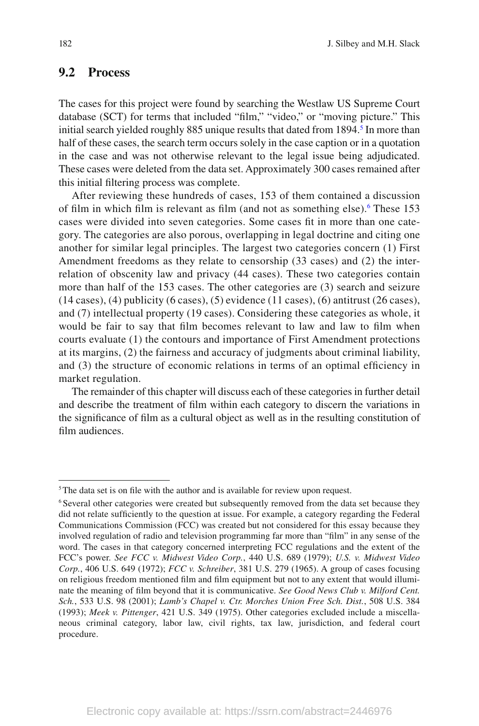### **9.2 Process**

 The cases for this project were found by searching the Westlaw US Supreme Court database (SCT) for terms that included "film," "video," or "moving picture." This initial search yielded roughly 885 unique results that dated from 1894.<sup>5</sup> In more than half of these cases, the search term occurs solely in the case caption or in a quotation in the case and was not otherwise relevant to the legal issue being adjudicated. These cases were deleted from the data set. Approximately 300 cases remained after this initial filtering process was complete.

 After reviewing these hundreds of cases, 153 of them contained a discussion of film in which film is relevant as film (and not as something else). These  $153$ cases were divided into seven categories. Some cases fit in more than one category. The categories are also porous, overlapping in legal doctrine and citing one another for similar legal principles. The largest two categories concern (1) First Amendment freedoms as they relate to censorship (33 cases) and (2) the interrelation of obscenity law and privacy (44 cases). These two categories contain more than half of the 153 cases. The other categories are (3) search and seizure  $(14 \text{ cases})$ ,  $(4)$  publicity  $(6 \text{ cases})$ ,  $(5)$  evidence  $(11 \text{ cases})$ ,  $(6)$  antitrust  $(26 \text{ cases})$ , and (7) intellectual property (19 cases). Considering these categories as whole, it would be fair to say that film becomes relevant to law and law to film when courts evaluate (1) the contours and importance of First Amendment protections at its margins, (2) the fairness and accuracy of judgments about criminal liability, and  $(3)$  the structure of economic relations in terms of an optimal efficiency in market regulation.

 The remainder of this chapter will discuss each of these categories in further detail and describe the treatment of film within each category to discern the variations in the significance of film as a cultural object as well as in the resulting constitution of film audiences.

<sup>&</sup>lt;sup>5</sup> The data set is on file with the author and is available for review upon request.

 <sup>6</sup> Several other categories were created but subsequently removed from the data set because they did not relate sufficiently to the question at issue. For example, a category regarding the Federal Communications Commission (FCC) was created but not considered for this essay because they involved regulation of radio and television programming far more than "film" in any sense of the word. The cases in that category concerned interpreting FCC regulations and the extent of the FCC's power. *See FCC v. Midwest Video Corp.* , 440 U.S. 689 (1979); *U.S. v. Midwest Video Corp.* , 406 U.S. 649 (1972); *FCC v. Schreiber* , 381 U.S. 279 (1965). A group of cases focusing on religious freedom mentioned film and film equipment but not to any extent that would illuminate the meaning of film beyond that it is communicative. *See Good News Club v. Milford Cent. Sch.* , 533 U.S. 98 (2001); *Lamb's Chapel v. Ctr. Morches Union Free Sch. Dist.* , 508 U.S. 384 (1993); Meek v. Pittenger, 421 U.S. 349 (1975). Other categories excluded include a miscellaneous criminal category, labor law, civil rights, tax law, jurisdiction, and federal court procedure.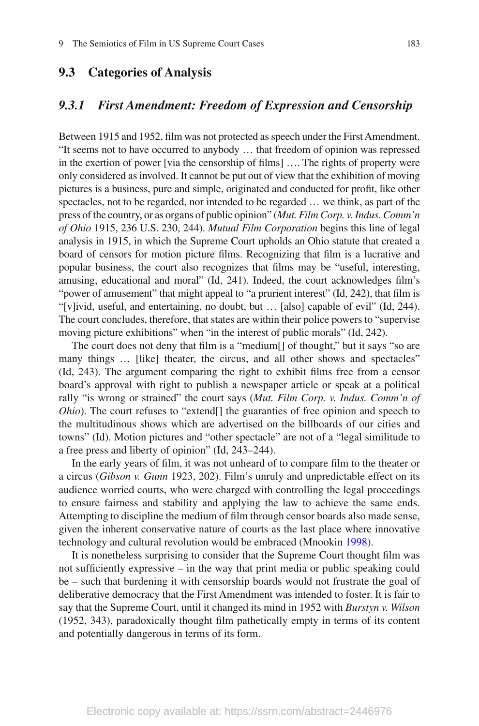#### **9.3 Categories of Analysis**

#### *9.3.1 First Amendment: Freedom of Expression and Censorship*

Between 1915 and 1952, film was not protected as speech under the First Amendment. "It seems not to have occurred to anybody … that freedom of opinion was repressed in the exertion of power [via the censorship of films]  $\dots$  The rights of property were only considered as involved. It cannot be put out of view that the exhibition of moving pictures is a business, pure and simple, originated and conducted for profit, like other spectacles, not to be regarded, nor intended to be regarded … we think, as part of the press of the country, or as organs of public opinion" ( *Mut. Film Corp. v. Indus. Comm'n of Ohio* 1915, 236 U.S. 230, 244). *Mutual Film Corporation* begins this line of legal analysis in 1915, in which the Supreme Court upholds an Ohio statute that created a board of censors for motion picture films. Recognizing that film is a lucrative and popular business, the court also recognizes that films may be "useful, interesting, amusing, educational and moral" (Id, 241). Indeed, the court acknowledges film's "power of amusement" that might appeal to "a prurient interest" (Id, 242), that film is "[v]ivid, useful, and entertaining, no doubt, but … [also] capable of evil" (Id, 244). The court concludes, therefore, that states are within their police powers to "supervise moving picture exhibitions" when "in the interest of public morals" (Id, 242).

The court does not deny that film is a "medium[] of thought," but it says "so are many things ... [like] theater, the circus, and all other shows and spectacles" (Id, 243). The argument comparing the right to exhibit films free from a censor board's approval with right to publish a newspaper article or speak at a political rally "is wrong or strained" the court says (Mut. Film Corp. v. Indus. Comm'n of *Ohio*). The court refuses to "extend<sup>[]</sup> the guaranties of free opinion and speech to the multitudinous shows which are advertised on the billboards of our cities and towns" (Id). Motion pictures and "other spectacle" are not of a "legal similitude to a free press and liberty of opinion" (Id, 243–244).

In the early years of film, it was not unheard of to compare film to the theater or a circus ( *Gibson v. Gunn* 1923, 202). Film's unruly and unpredictable effect on its audience worried courts, who were charged with controlling the legal proceedings to ensure fairness and stability and applying the law to achieve the same ends. Attempting to discipline the medium of film through censor boards also made sense, given the inherent conservative nature of courts as the last place where innovative technology and cultural revolution would be embraced (Mnookin [1998](#page-26-0)).

It is nonetheless surprising to consider that the Supreme Court thought film was not sufficiently expressive  $-$  in the way that print media or public speaking could be – such that burdening it with censorship boards would not frustrate the goal of deliberative democracy that the First Amendment was intended to foster. It is fair to say that the Supreme Court, until it changed its mind in 1952 with *Burstyn v. Wilson* (1952, 343), paradoxically thought film pathetically empty in terms of its content and potentially dangerous in terms of its form.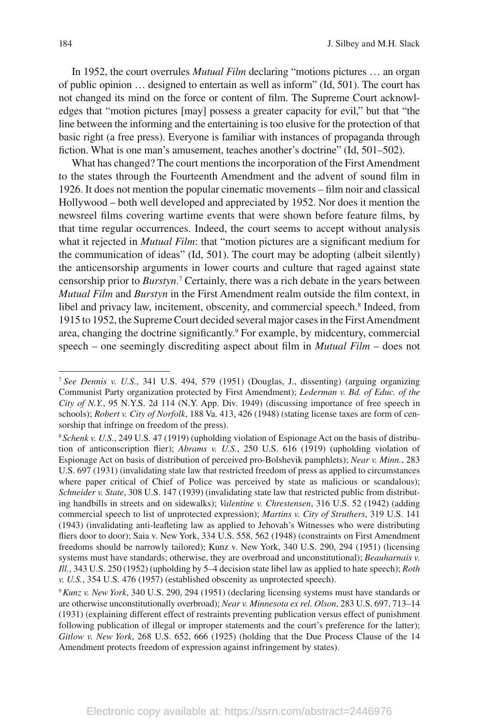In 1952, the court overrules *Mutual Film* declaring "motions pictures … an organ of public opinion … designed to entertain as well as inform" (Id, 501). The court has not changed its mind on the force or content of film. The Supreme Court acknowledges that "motion pictures [may] possess a greater capacity for evil," but that "the line between the informing and the entertaining is too elusive for the protection of that basic right (a free press). Everyone is familiar with instances of propaganda through fiction. What is one man's amusement, teaches another's doctrine" (Id, 501–502).

 What has changed? The court mentions the incorporation of the First Amendment to the states through the Fourteenth Amendment and the advent of sound film in 1926. It does not mention the popular cinematic movements – film noir and classical Hollywood – both well developed and appreciated by 1952. Nor does it mention the newsreel films covering wartime events that were shown before feature films, by that time regular occurrences. Indeed, the court seems to accept without analysis what it rejected in *Mutual Film*: that "motion pictures are a significant medium for the communication of ideas" (Id, 501). The court may be adopting (albeit silently) the anticensorship arguments in lower courts and culture that raged against state censorship prior to *Burstyn*.<sup>7</sup> Certainly, there was a rich debate in the years between *Mutual Film* and *Burstyn* in the First Amendment realm outside the film context, in libel and privacy law, incitement, obscenity, and commercial speech.<sup>8</sup> Indeed, from 1915 to 1952, the Supreme Court decided several major cases in the First Amendment area, changing the doctrine significantly.<sup>9</sup> For example, by midcentury, commercial speech – one seemingly discrediting aspect about film in *Mutual Film* – does not

<sup>7</sup>*See Dennis v. U.S.* , 341 U.S. 494, 579 (1951) (Douglas, J., dissenting) (arguing organizing Communist Party organization protected by First Amendment); *Lederman v. Bd. of Educ. of the City of N.Y.* , 95 N.Y.S. 2d 114 (N.Y. App. Div. 1949) (discussing importance of free speech in schools); *Robert v. City of Norfolk* , 188 Va. 413, 426 (1948) (stating license taxes are form of censorship that infringe on freedom of the press).

 <sup>8</sup> *Schenk v. U.S.* , 249 U.S. 47 (1919) (upholding violation of Espionage Act on the basis of distribution of anticonscription flier); *Abrams v. U.S.*, 250 U.S. 616 (1919) (upholding violation of Espionage Act on basis of distribution of perceived pro-Bolshevik pamphlets); *Near v. Minn.* , 283 U.S. 697 (1931) (invalidating state law that restricted freedom of press as applied to circumstances where paper critical of Chief of Police was perceived by state as malicious or scandalous); *Schneider v. State* , 308 U.S. 147 (1939) (invalidating state law that restricted public from distributing handbills in streets and on sidewalks); *Valentine v. Chrestensen* , 316 U.S. 52 (1942) (adding commercial speech to list of unprotected expression); *Martins v. City of Struthers* , 319 U.S. 141  $(1943)$  (invalidating anti-leafleting law as applied to Jehovah's Witnesses who were distributing fliers door to door); Saia v. New York, 334 U.S. 558, 562 (1948) (constraints on First Amendment freedoms should be narrowly tailored); Kunz v. New York, 340 U.S. 290, 294 (1951) (licensing systems must have standards; otherwise, they are overbroad and unconstitutional); *Beauharnais v. Ill.* , 343 U.S. 250 (1952) (upholding by 5–4 decision state libel law as applied to hate speech); *Roth v. U.S.* , 354 U.S. 476 (1957) (established obscenity as unprotected speech).

<sup>9</sup>*Kunz v. New York* , 340 U.S. 290, 294 (1951) (declaring licensing systems must have standards or are otherwise unconstitutionally overbroad); *Near v. Minnesota ex rel. Olson*, 283 U.S. 697, 713-14 (1931) (explaining different effect of restraints preventing publication versus effect of punishment following publication of illegal or improper statements and the court's preference for the latter); *Gitlow v. New York* , 268 U.S. 652, 666 (1925) (holding that the Due Process Clause of the 14 Amendment protects freedom of expression against infringement by states).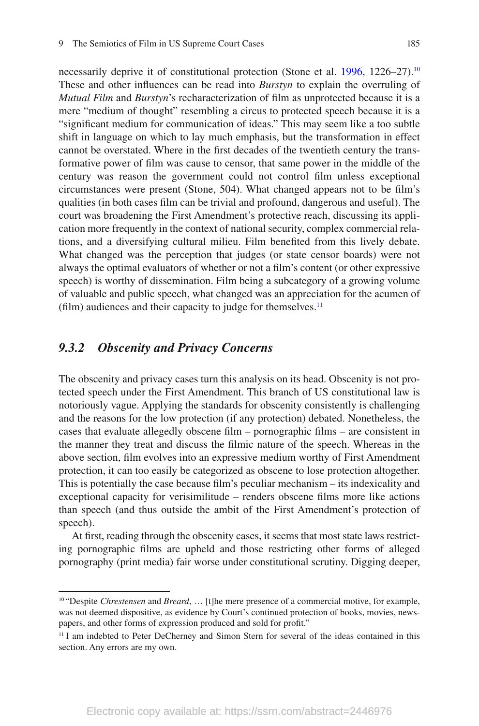necessarily deprive it of constitutional protection (Stone et al.  $1996$ ,  $1226-27$ ).<sup>10</sup> These and other influences can be read into *Burstyn* to explain the overruling of *Mutual Film* and *Burstyn*'s recharacterization of film as unprotected because it is a mere "medium of thought" resembling a circus to protected speech because it is a "significant medium for communication of ideas." This may seem like a too subtle shift in language on which to lay much emphasis, but the transformation in effect cannot be overstated. Where in the first decades of the twentieth century the transformative power of film was cause to censor, that same power in the middle of the century was reason the government could not control film unless exceptional circumstances were present (Stone, 504). What changed appears not to be film's qualities (in both cases film can be trivial and profound, dangerous and useful). The court was broadening the First Amendment's protective reach, discussing its application more frequently in the context of national security, complex commercial relations, and a diversifying cultural milieu. Film benefited from this lively debate. What changed was the perception that judges (or state censor boards) were not always the optimal evaluators of whether or not a film's content (or other expressive speech) is worthy of dissemination. Film being a subcategory of a growing volume of valuable and public speech, what changed was an appreciation for the acumen of (film) audiences and their capacity to judge for themselves. $<sup>11</sup>$ </sup>

#### *9.3.2 Obscenity and Privacy Concerns*

 The obscenity and privacy cases turn this analysis on its head. Obscenity is not protected speech under the First Amendment. This branch of US constitutional law is notoriously vague. Applying the standards for obscenity consistently is challenging and the reasons for the low protection (if any protection) debated. Nonetheless, the cases that evaluate allegedly obscene film – pornographic films – are consistent in the manner they treat and discuss the filmic nature of the speech. Whereas in the above section, film evolves into an expressive medium worthy of First Amendment protection, it can too easily be categorized as obscene to lose protection altogether. This is potentially the case because film's peculiar mechanism  $-$  its indexicality and exceptional capacity for verisimilitude – renders obscene films more like actions than speech (and thus outside the ambit of the First Amendment's protection of speech).

At first, reading through the obscenity cases, it seems that most state laws restricting pornographic films are upheld and those restricting other forms of alleged pornography (print media) fair worse under constitutional scrutiny. Digging deeper,

<sup>&</sup>lt;sup>10</sup> "Despite *Chrestensen* and *Breard*, ... [t]he mere presence of a commercial motive, for example, was not deemed dispositive, as evidence by Court's continued protection of books, movies, newspapers, and other forms of expression produced and sold for profit."

<sup>&</sup>lt;sup>11</sup> I am indebted to Peter DeCherney and Simon Stern for several of the ideas contained in this section. Any errors are my own.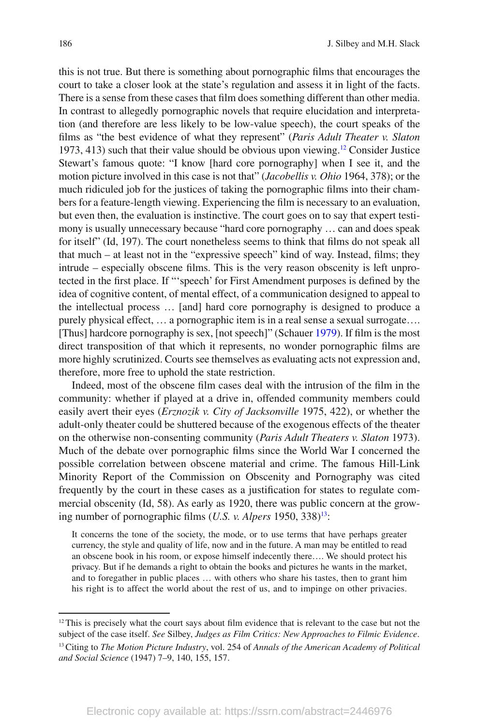this is not true. But there is something about pornographic films that encourages the court to take a closer look at the state's regulation and assess it in light of the facts. There is a sense from these cases that film does something different than other media. In contrast to allegedly pornographic novels that require elucidation and interpretation (and therefore are less likely to be low-value speech), the court speaks of the films as "the best evidence of what they represent" (*Paris Adult Theater v. Slaton*) 1973, 413) such that their value should be obvious upon viewing.<sup>12</sup> Consider Justice Stewart's famous quote: "I know [hard core pornography] when I see it, and the motion picture involved in this case is not that" ( *Jacobellis v. Ohio* 1964, 378); or the much ridiculed job for the justices of taking the pornographic films into their chambers for a feature-length viewing. Experiencing the film is necessary to an evaluation, but even then, the evaluation is instinctive. The court goes on to say that expert testimony is usually unnecessary because "hard core pornography … can and does speak for itself" (Id, 197). The court nonetheless seems to think that films do not speak all that much  $-$  at least not in the "expressive speech" kind of way. Instead, films; they  $intude - especially obscure films. This is the very reason observation is left unpro$ tected in the first place. If "'speech' for First Amendment purposes is defined by the idea of cognitive content, of mental effect, of a communication designed to appeal to the intellectual process … [and] hard core pornography is designed to produce a purely physical effect, … a pornographic item is in a real sense a sexual surrogate…. [Thus] hardcore pornography is sex, [not speech]" (Schauer [1979](#page-26-0)). If film is the most direct transposition of that which it represents, no wonder pornographic films are more highly scrutinized. Courts see themselves as evaluating acts not expression and, therefore, more free to uphold the state restriction.

Indeed, most of the obscene film cases deal with the intrusion of the film in the community: whether if played at a drive in, offended community members could easily avert their eyes (*Erznozik v. City of Jacksonville* 1975, 422), or whether the adult-only theater could be shuttered because of the exogenous effects of the theater on the otherwise non-consenting community ( *Paris Adult Theaters v. Slaton* 1973). Much of the debate over pornographic films since the World War I concerned the possible correlation between obscene material and crime. The famous Hill-Link Minority Report of the Commission on Obscenity and Pornography was cited frequently by the court in these cases as a justification for states to regulate commercial obscenity (Id, 58). As early as 1920, there was public concern at the growing number of pornographic films (*U.S. v. Alpers* 1950, 338)<sup>13</sup>:

 It concerns the tone of the society, the mode, or to use terms that have perhaps greater currency, the style and quality of life, now and in the future. A man may be entitled to read an obscene book in his room, or expose himself indecently there…. We should protect his privacy. But if he demands a right to obtain the books and pictures he wants in the market, and to foregather in public places … with others who share his tastes, then to grant him his right is to affect the world about the rest of us, and to impinge on other privacies.

<sup>&</sup>lt;sup>12</sup> This is precisely what the court says about film evidence that is relevant to the case but not the subject of the case itself. *See* Silbey, *Judges as Film Critics: New Approaches to Filmic Evidence* . 13 Citing to *The Motion Picture Industry* , vol. 254 of *Annals of the American Academy of Political and Social Science* (1947) 7–9, 140, 155, 157.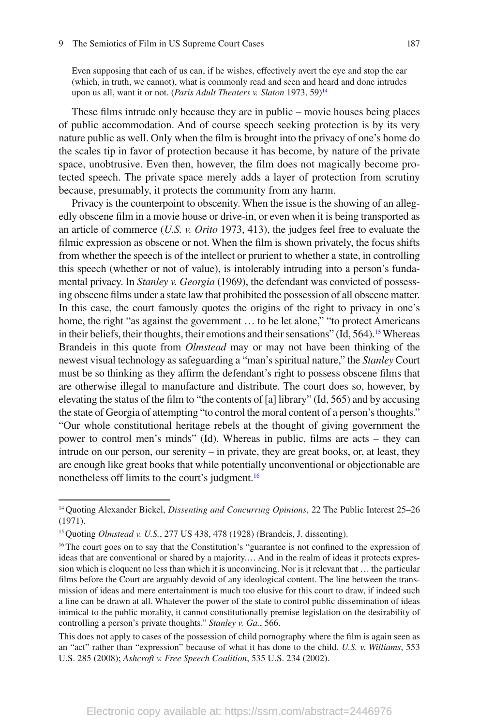Even supposing that each of us can, if he wishes, effectively avert the eye and stop the ear (which, in truth, we cannot), what is commonly read and seen and heard and done intrudes upon us all, want it or not. (*Paris Adult Theaters v. Slaton* 1973, 59)<sup>14</sup>

These films intrude only because they are in public  $-$  movie houses being places of public accommodation. And of course speech seeking protection is by its very nature public as well. Only when the film is brought into the privacy of one's home do the scales tip in favor of protection because it has become, by nature of the private space, unobtrusive. Even then, however, the film does not magically become protected speech. The private space merely adds a layer of protection from scrutiny because, presumably, it protects the community from any harm.

 Privacy is the counterpoint to obscenity. When the issue is the showing of an allegedly obscene film in a movie house or drive-in, or even when it is being transported as an article of commerce ( *U.S. v. Orito* 1973, 413), the judges feel free to evaluate the filmic expression as obscene or not. When the film is shown privately, the focus shifts from whether the speech is of the intellect or prurient to whether a state, in controlling this speech (whether or not of value), is intolerably intruding into a person's fundamental privacy. In *Stanley v. Georgia* (1969), the defendant was convicted of possessing obscene films under a state law that prohibited the possession of all obscene matter. In this case, the court famously quotes the origins of the right to privacy in one's home, the right "as against the government ... to be let alone," "to protect Americans" in their beliefs, their thoughts, their emotions and their sensations" (Id, 564). 15 Whereas Brandeis in this quote from *Olmstead* may or may not have been thinking of the newest visual technology as safeguarding a "man's spiritual nature," the *Stanley* Court must be so thinking as they affirm the defendant's right to possess obscene films that are otherwise illegal to manufacture and distribute. The court does so, however, by elevating the status of the film to "the contents of [a] library" (Id, 565) and by accusing the state of Georgia of attempting "to control the moral content of a person's thoughts." "Our whole constitutional heritage rebels at the thought of giving government the power to control men's minds" (Id). Whereas in public, films are acts – they can intrude on our person, our serenity – in private, they are great books, or, at least, they are enough like great books that while potentially unconventional or objectionable are nonetheless off limits to the court's judgment.<sup>16</sup>

 <sup>14</sup> Quoting Alexander Bickel, *Dissenting and Concurring Opinions* , 22 The Public Interest 25–26 (1971).

 <sup>15</sup> Quoting *Olmstead v. U.S.* , 277 US 438, 478 (1928) (Brandeis, J. dissenting).

<sup>&</sup>lt;sup>16</sup> The court goes on to say that the Constitution's "guarantee is not confined to the expression of ideas that are conventional or shared by a majority.… And in the realm of ideas it protects expression which is eloquent no less than which it is unconvincing. Nor is it relevant that … the particular films before the Court are arguably devoid of any ideological content. The line between the transmission of ideas and mere entertainment is much too elusive for this court to draw, if indeed such a line can be drawn at all. Whatever the power of the state to control public dissemination of ideas inimical to the public morality, it cannot constitutionally premise legislation on the desirability of controlling a person's private thoughts." *Stanley v. Ga.* , 566.

This does not apply to cases of the possession of child pornography where the film is again seen as an "act" rather than "expression" because of what it has done to the child. *U.S. v. Williams* , 553 U.S. 285 (2008); *Ashcroft v. Free Speech Coalition* , 535 U.S. 234 (2002).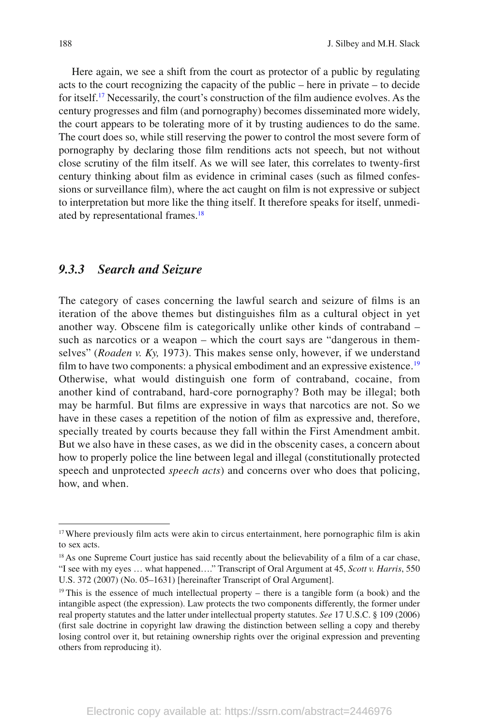Here again, we see a shift from the court as protector of a public by regulating acts to the court recognizing the capacity of the public – here in private – to decide for itself.<sup>17</sup> Necessarily, the court's construction of the film audience evolves. As the century progresses and film (and pornography) becomes disseminated more widely, the court appears to be tolerating more of it by trusting audiences to do the same. The court does so, while still reserving the power to control the most severe form of pornography by declaring those film renditions acts not speech, but not without close scrutiny of the film itself. As we will see later, this correlates to twenty-first century thinking about film as evidence in criminal cases (such as filmed confessions or surveillance film), where the act caught on film is not expressive or subject to interpretation but more like the thing itself. It therefore speaks for itself, unmediated by representational frames.<sup>18</sup>

#### *9.3.3 Search and Seizure*

The category of cases concerning the lawful search and seizure of films is an iteration of the above themes but distinguishes film as a cultural object in yet another way. Obscene film is categorically unlike other kinds of contraband  $$ such as narcotics or a weapon – which the court says are "dangerous in themselves" ( *Roaden v. Ky,* 1973). This makes sense only, however, if we understand film to have two components: a physical embodiment and an expressive existence.<sup>19</sup> Otherwise, what would distinguish one form of contraband, cocaine, from another kind of contraband, hard-core pornography? Both may be illegal; both may be harmful. But films are expressive in ways that narcotics are not. So we have in these cases a repetition of the notion of film as expressive and, therefore, specially treated by courts because they fall within the First Amendment ambit. But we also have in these cases, as we did in the obscenity cases, a concern about how to properly police the line between legal and illegal (constitutionally protected speech and unprotected *speech acts*) and concerns over who does that policing, how, and when.

<sup>&</sup>lt;sup>17</sup> Where previously film acts were akin to circus entertainment, here pornographic film is akin to sex acts.

 $18$  As one Supreme Court justice has said recently about the believability of a film of a car chase, "I see with my eyes … what happened…." Transcript of Oral Argument at 45, *Scott v. Harris* , 550 U.S. 372 (2007) (No. 05–1631) [hereinafter Transcript of Oral Argument].

<sup>&</sup>lt;sup>19</sup> This is the essence of much intellectual property – there is a tangible form (a book) and the intangible aspect (the expression). Law protects the two components differently, the former under real property statutes and the latter under intellectual property statutes. *See* 17 U.S.C. § 109 (2006) (first sale doctrine in copyright law drawing the distinction between selling a copy and thereby losing control over it, but retaining ownership rights over the original expression and preventing others from reproducing it).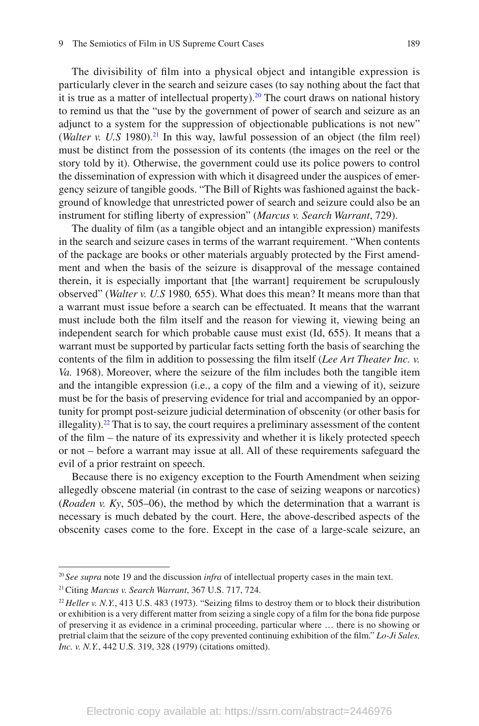The divisibility of film into a physical object and intangible expression is particularly clever in the search and seizure cases (to say nothing about the fact that it is true as a matter of intellectual property).<sup>20</sup> The court draws on national history to remind us that the "use by the government of power of search and seizure as an adjunct to a system for the suppression of objectionable publications is not new" (*Walter v. U.S* 1980).<sup>21</sup> In this way, lawful possession of an object (the film reel) must be distinct from the possession of its contents (the images on the reel or the story told by it). Otherwise, the government could use its police powers to control the dissemination of expression with which it disagreed under the auspices of emergency seizure of tangible goods. "The Bill of Rights was fashioned against the background of knowledge that unrestricted power of search and seizure could also be an instrument for stifling liberty of expression" (Marcus v. Search Warrant, 729).

The duality of film (as a tangible object and an intangible expression) manifests in the search and seizure cases in terms of the warrant requirement. "When contents of the package are books or other materials arguably protected by the First amendment and when the basis of the seizure is disapproval of the message contained therein, it is especially important that [the warrant] requirement be scrupulously observed" ( *Walter v. U.S* 1980 *,* 655). What does this mean? It means more than that a warrant must issue before a search can be effectuated. It means that the warrant must include both the film itself and the reason for viewing it, viewing being an independent search for which probable cause must exist (Id, 655). It means that a warrant must be supported by particular facts setting forth the basis of searching the contents of the film in addition to possessing the film itself (*Lee Art Theater Inc. v. Va.* 1968). Moreover, where the seizure of the film includes both the tangible item and the intangible expression (i.e., a copy of the film and a viewing of it), seizure must be for the basis of preserving evidence for trial and accompanied by an opportunity for prompt post-seizure judicial determination of obscenity (or other basis for illegality). $^{22}$  That is to say, the court requires a preliminary assessment of the content of the film – the nature of its expressivity and whether it is likely protected speech or not – before a warrant may issue at all. All of these requirements safeguard the evil of a prior restraint on speech.

 Because there is no exigency exception to the Fourth Amendment when seizing allegedly obscene material (in contrast to the case of seizing weapons or narcotics) ( *Roaden v. Ky* , 505–06), the method by which the determination that a warrant is necessary is much debated by the court. Here, the above-described aspects of the obscenity cases come to the fore. Except in the case of a large-scale seizure, an

<sup>20</sup>*See supra* note 19 and the discussion *infra* of intellectual property cases in the main text.

<sup>&</sup>lt;sup>21</sup> Citing *Marcus v. Search Warrant*, 367 U.S. 717, 724.

<sup>&</sup>lt;sup>22</sup> Heller v. N.Y., 413 U.S. 483 (1973). "Seizing films to destroy them or to block their distribution or exhibition is a very different matter from seizing a single copy of a film for the bona fide purpose of preserving it as evidence in a criminal proceeding, particular where … there is no showing or pretrial claim that the seizure of the copy prevented continuing exhibition of the film." *Lo-Ji Sales, Inc. v. N.Y.* , 442 U.S. 319, 328 (1979) (citations omitted).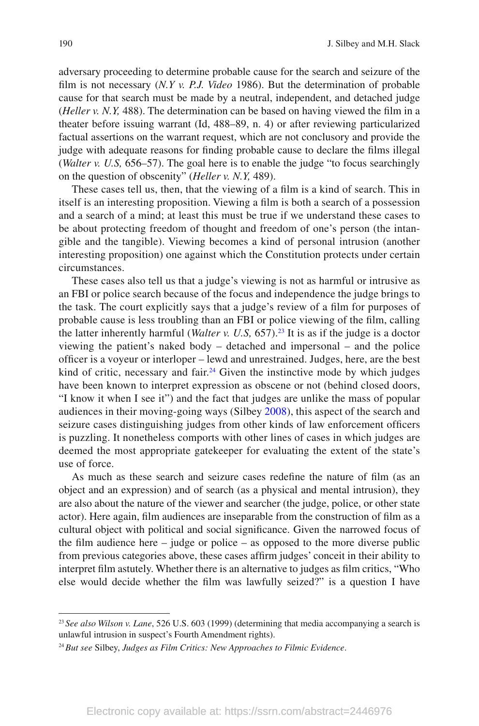adversary proceeding to determine probable cause for the search and seizure of the film is not necessary (*N.Y v. P.J. Video* 1986). But the determination of probable cause for that search must be made by a neutral, independent, and detached judge (*Heller v. N.Y.* 488). The determination can be based on having viewed the film in a theater before issuing warrant (Id, 488–89, n. 4) or after reviewing particularized factual assertions on the warrant request, which are not conclusory and provide the judge with adequate reasons for finding probable cause to declare the films illegal (*Walter v. U.S.* 656–57). The goal here is to enable the judge "to focus searchingly on the question of obscenity" ( *Heller v. N.Y,* 489).

These cases tell us, then, that the viewing of a film is a kind of search. This in itself is an interesting proposition. Viewing a film is both a search of a possession and a search of a mind; at least this must be true if we understand these cases to be about protecting freedom of thought and freedom of one's person (the intangible and the tangible). Viewing becomes a kind of personal intrusion (another interesting proposition) one against which the Constitution protects under certain circumstances.

 These cases also tell us that a judge's viewing is not as harmful or intrusive as an FBI or police search because of the focus and independence the judge brings to the task. The court explicitly says that a judge's review of a film for purposes of probable cause is less troubling than an FBI or police viewing of the film, calling the latter inherently harmful (*Walter v. U.S,*  $657$ ).<sup>23</sup> It is as if the judge is a doctor viewing the patient's naked body – detached and impersonal – and the police officer is a voyeur or interloper – lewd and unrestrained. Judges, here, are the best kind of critic, necessary and fair. $24$  Given the instinctive mode by which judges have been known to interpret expression as obscene or not (behind closed doors, "I know it when I see it") and the fact that judges are unlike the mass of popular audiences in their moving-going ways (Silbey [2008](#page-26-0)), this aspect of the search and seizure cases distinguishing judges from other kinds of law enforcement officers is puzzling. It nonetheless comports with other lines of cases in which judges are deemed the most appropriate gatekeeper for evaluating the extent of the state's use of force.

As much as these search and seizure cases redefine the nature of film (as an object and an expression) and of search (as a physical and mental intrusion), they are also about the nature of the viewer and searcher (the judge, police, or other state actor). Here again, film audiences are inseparable from the construction of film as a cultural object with political and social significance. Given the narrowed focus of the film audience here – judge or police – as opposed to the more diverse public from previous categories above, these cases affirm judges' conceit in their ability to interpret film astutely. Whether there is an alternative to judges as film critics, "Who else would decide whether the film was lawfully seized?" is a question I have

<sup>&</sup>lt;sup>23</sup> See also Wilson v. Lane, 526 U.S. 603 (1999) (determining that media accompanying a search is unlawful intrusion in suspect's Fourth Amendment rights).

<sup>24</sup>*But see* Silbey, *Judges as Film Critics: New Approaches to Filmic Evidence* .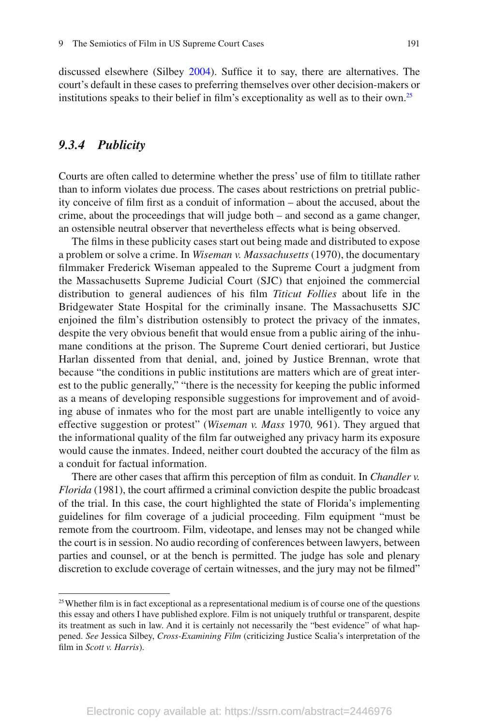discussed elsewhere (Silbey [2004](#page-26-0)). Suffice it to say, there are alternatives. The court's default in these cases to preferring themselves over other decision-makers or institutions speaks to their belief in film's exceptionality as well as to their own.<sup>25</sup>

#### *9.3.4 Publicity*

Courts are often called to determine whether the press' use of film to titillate rather than to inform violates due process. The cases about restrictions on pretrial publicity conceive of film first as a conduit of information – about the accused, about the crime, about the proceedings that will judge both – and second as a game changer, an ostensible neutral observer that nevertheless effects what is being observed.

The films in these publicity cases start out being made and distributed to expose a problem or solve a crime. In *Wiseman v. Massachusetts* (1970), the documentary filmmaker Frederick Wiseman appealed to the Supreme Court a judgment from the Massachusetts Supreme Judicial Court (SJC) that enjoined the commercial distribution to general audiences of his film *Titicut Follies* about life in the Bridgewater State Hospital for the criminally insane. The Massachusetts SJC enjoined the film's distribution ostensibly to protect the privacy of the inmates, despite the very obvious benefit that would ensue from a public airing of the inhumane conditions at the prison. The Supreme Court denied certiorari, but Justice Harlan dissented from that denial, and, joined by Justice Brennan, wrote that because "the conditions in public institutions are matters which are of great interest to the public generally," "there is the necessity for keeping the public informed as a means of developing responsible suggestions for improvement and of avoiding abuse of inmates who for the most part are unable intelligently to voice any effective suggestion or protest" ( *Wiseman v. Mass* 1970 *,* 961). They argued that the informational quality of the film far outweighed any privacy harm its exposure would cause the inmates. Indeed, neither court doubted the accuracy of the film as a conduit for factual information.

There are other cases that affirm this perception of film as conduit. In *Chandler v. Florida* (1981), the court affirmed a criminal conviction despite the public broadcast of the trial. In this case, the court highlighted the state of Florida's implementing guidelines for film coverage of a judicial proceeding. Film equipment "must be remote from the courtroom. Film, videotape, and lenses may not be changed while the court is in session. No audio recording of conferences between lawyers, between parties and counsel, or at the bench is permitted. The judge has sole and plenary discretion to exclude coverage of certain witnesses, and the jury may not be filmed"

 $25$  Whether film is in fact exceptional as a representational medium is of course one of the questions this essay and others I have published explore. Film is not uniquely truthful or transparent, despite its treatment as such in law. And it is certainly not necessarily the "best evidence" of what happened. *See* Jessica Silbey, *Cross-Examining Film* (criticizing Justice Scalia's interpretation of the film in *Scott v. Harris*).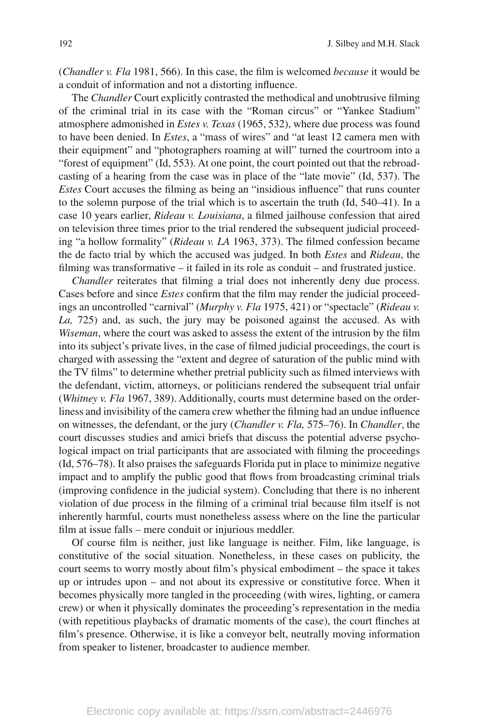(*Chandler v. Fla* 1981, 566). In this case, the film is welcomed *because* it would be a conduit of information and not a distorting influence.

The *Chandler* Court explicitly contrasted the methodical and unobtrusive filming of the criminal trial in its case with the "Roman circus" or "Yankee Stadium" atmosphere admonished in *Estes v. Texas* (1965, 532), where due process was found to have been denied. In *Estes* , a "mass of wires" and "at least 12 camera men with their equipment" and "photographers roaming at will" turned the courtroom into a "forest of equipment" (Id, 553). At one point, the court pointed out that the rebroadcasting of a hearing from the case was in place of the "late movie" (Id, 537). The *Estes* Court accuses the filming as being an "insidious influence" that runs counter to the solemn purpose of the trial which is to ascertain the truth (Id, 540–41). In a case 10 years earlier, *Rideau v. Louisiana*, a filmed jailhouse confession that aired on television three times prior to the trial rendered the subsequent judicial proceeding "a hollow formality" (*Rideau v. LA* 1963, 373). The filmed confession became the de facto trial by which the accused was judged. In both *Estes* and *Rideau* , the filming was transformative – it failed in its role as conduit – and frustrated justice.

*Chandler* reiterates that filming a trial does not inherently deny due process. Cases before and since *Estes* confirm that the film may render the judicial proceedings an uncontrolled "carnival" ( *Murphy v. Fla* 1975, 421) or "spectacle" ( *Rideau v. La,* 725) and, as such, the jury may be poisoned against the accused. As with *Wiseman*, where the court was asked to assess the extent of the intrusion by the film into its subject's private lives, in the case of filmed judicial proceedings, the court is charged with assessing the "extent and degree of saturation of the public mind with the TV films" to determine whether pretrial publicity such as filmed interviews with the defendant, victim, attorneys, or politicians rendered the subsequent trial unfair ( *Whitney v. Fla* 1967, 389). Additionally, courts must determine based on the orderliness and invisibility of the camera crew whether the filming had an undue influence on witnesses, the defendant, or the jury ( *Chandler v. Fla,* 575 *–* 76). In *Chandler* , the court discusses studies and amici briefs that discuss the potential adverse psychological impact on trial participants that are associated with filming the proceedings (Id, 576–78). It also praises the safeguards Florida put in place to minimize negative impact and to amplify the public good that flows from broadcasting criminal trials (improving confidence in the judicial system). Concluding that there is no inherent violation of due process in the filming of a criminal trial because film itself is not inherently harmful, courts must nonetheless assess where on the line the particular film at issue falls – mere conduit or injurious meddler.

Of course film is neither, just like language is neither. Film, like language, is constitutive of the social situation. Nonetheless, in these cases on publicity, the court seems to worry mostly about film's physical embodiment – the space it takes up or intrudes upon – and not about its expressive or constitutive force. When it becomes physically more tangled in the proceeding (with wires, lighting, or camera crew) or when it physically dominates the proceeding's representation in the media (with repetitious playbacks of dramatic moments of the case), the court flinches at film's presence. Otherwise, it is like a conveyor belt, neutrally moving information from speaker to listener, broadcaster to audience member.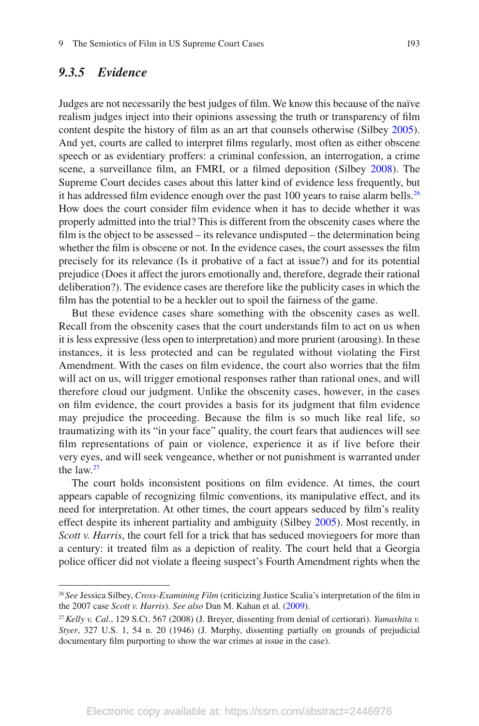### *9.3.5 Evidence*

Judges are not necessarily the best judges of film. We know this because of the naïve realism judges inject into their opinions assessing the truth or transparency of film content despite the history of film as an art that counsels otherwise (Silbey 2005). And yet, courts are called to interpret films regularly, most often as either obscene speech or as evidentiary proffers: a criminal confession, an interrogation, a crime scene, a surveillance film, an FMRI, or a filmed deposition (Silbey [2008](#page-26-0)). The Supreme Court decides cases about this latter kind of evidence less frequently, but it has addressed film evidence enough over the past  $100$  years to raise alarm bells.<sup>26</sup> How does the court consider film evidence when it has to decide whether it was properly admitted into the trial? This is different from the obscenity cases where the film is the object to be assessed – its relevance undisputed – the determination being whether the film is obscene or not. In the evidence cases, the court assesses the film precisely for its relevance (Is it probative of a fact at issue?) and for its potential prejudice (Does it affect the jurors emotionally and, therefore, degrade their rational deliberation?). The evidence cases are therefore like the publicity cases in which the film has the potential to be a heckler out to spoil the fairness of the game.

 But these evidence cases share something with the obscenity cases as well. Recall from the obscenity cases that the court understands film to act on us when it is less expressive (less open to interpretation) and more prurient (arousing). In these instances, it is less protected and can be regulated without violating the First Amendment. With the cases on film evidence, the court also worries that the film will act on us, will trigger emotional responses rather than rational ones, and will therefore cloud our judgment. Unlike the obscenity cases, however, in the cases on film evidence, the court provides a basis for its judgment that film evidence may prejudice the proceeding. Because the film is so much like real life, so traumatizing with its "in your face" quality, the court fears that audiences will see film representations of pain or violence, experience it as if live before their very eyes, and will seek vengeance, whether or not punishment is warranted under the law.<sup>27</sup>

The court holds inconsistent positions on film evidence. At times, the court appears capable of recognizing filmic conventions, its manipulative effect, and its need for interpretation. At other times, the court appears seduced by film's reality effect despite its inherent partiality and ambiguity (Silbey 2005). Most recently, in *Scott v. Harris*, the court fell for a trick that has seduced moviegoers for more than a century: it treated film as a depiction of reality. The court held that a Georgia police of ficer did not violate a fleeing suspect's Fourth Amendment rights when the

<sup>&</sup>lt;sup>26</sup> See Jessica Silbey, *Cross-Examining Film* (criticizing Justice Scalia's interpretation of the film in the 2007 case *Scott v. Harris* ). *See also* Dan M. Kahan et al. ( [2009 \)](#page-25-0).

<sup>27</sup>*Kelly v. Cal.* , 129 S.Ct. 567 (2008) (J. Breyer, dissenting from denial of certiorari). *Yamashita v. Styer* , 327 U.S. 1, 54 n. 20 (1946) (J. Murphy, dissenting partially on grounds of prejudicial documentary film purporting to show the war crimes at issue in the case).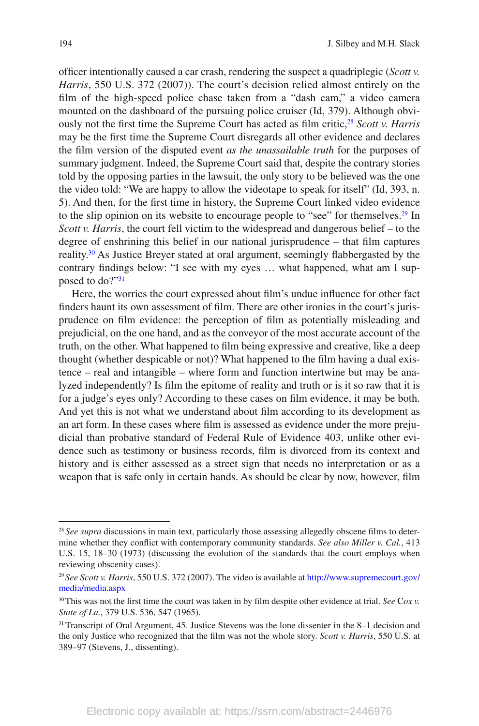officer intentionally caused a car crash, rendering the suspect a quadriplegic (*Scott v. Harris* , 550 U.S. 372 (2007)). The court's decision relied almost entirely on the film of the high-speed police chase taken from a "dash cam," a video camera mounted on the dashboard of the pursuing police cruiser (Id, 379). Although obviously not the first time the Supreme Court has acted as film critic,<sup>28</sup> *Scott v. Harris* may be the first time the Supreme Court disregards all other evidence and declares the film version of the disputed event *as the unassailable truth* for the purposes of summary judgment. Indeed, the Supreme Court said that, despite the contrary stories told by the opposing parties in the lawsuit, the only story to be believed was the one the video told: "We are happy to allow the videotape to speak for itself" (Id, 393, n. 5). And then, for the first time in history, the Supreme Court linked video evidence to the slip opinion on its website to encourage people to "see" for themselves.<sup>29</sup> In *Scott v. Harris*, the court fell victim to the widespread and dangerous belief – to the degree of enshrining this belief in our national jurisprudence – that film captures reality.<sup>30</sup> As Justice Breyer stated at oral argument, seemingly flabbergasted by the contrary findings below: "I see with my eyes ... what happened, what am I supposed to do?"<sup>31</sup>

Here, the worries the court expressed about film's undue influence for other fact finders haunt its own assessment of film. There are other ironies in the court's jurisprudence on film evidence: the perception of film as potentially misleading and prejudicial, on the one hand, and as the conveyor of the most accurate account of the truth, on the other. What happened to film being expressive and creative, like a deep thought (whether despicable or not)? What happened to the film having a dual existence – real and intangible – where form and function intertwine but may be analyzed independently? Is film the epitome of reality and truth or is it so raw that it is for a judge's eyes only? According to these cases on film evidence, it may be both. And yet this is not what we understand about film according to its development as an art form. In these cases where film is assessed as evidence under the more prejudicial than probative standard of Federal Rule of Evidence 403, unlike other evidence such as testimony or business records, film is divorced from its context and history and is either assessed as a street sign that needs no interpretation or as a weapon that is safe only in certain hands. As should be clear by now, however, film

<sup>&</sup>lt;sup>28</sup> See supra discussions in main text, particularly those assessing allegedly obscene films to determine whether they conflict with contemporary community standards. See also Miller v. Cal., 413 U.S. 15, 18–30 (1973) (discussing the evolution of the standards that the court employs when reviewing obscenity cases).

<sup>29</sup>*See Scott v. Harris* , 550 U.S. 372 (2007). The video is available at [http://www.supremecourt.gov/](http://www.supremecourt.gov/media/media.aspx) [media/media.aspx](http://www.supremecourt.gov/media/media.aspx)

<sup>&</sup>lt;sup>30</sup> This was not the first time the court was taken in by film despite other evidence at trial. *See* Cox *v*. *State of La.* , 379 U.S. 536, 547 (1965).

 <sup>31</sup> Transcript of Oral Argument, 45. Justice Stevens was the lone dissenter in the 8–1 decision and the only Justice who recognized that the film was not the whole story. *Scott v. Harris*, 550 U.S. at 389–97 (Stevens, J., dissenting).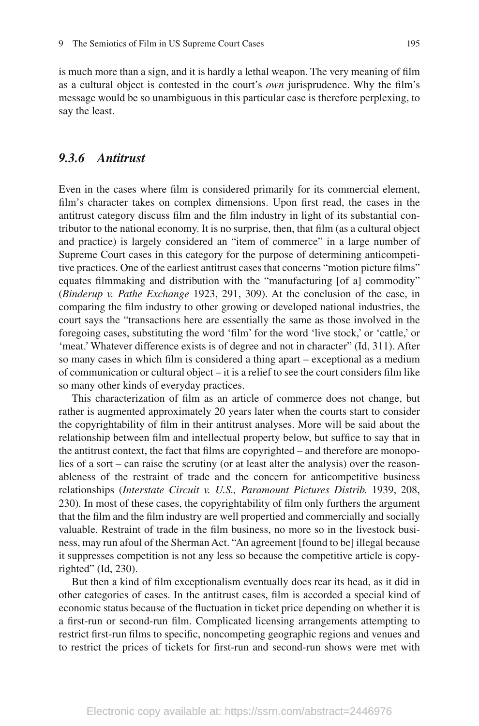is much more than a sign, and it is hardly a lethal weapon. The very meaning of film as a cultural object is contested in the court's *own* jurisprudence. Why the film's message would be so unambiguous in this particular case is therefore perplexing, to say the least.

#### *9.3.6 Antitrust*

Even in the cases where film is considered primarily for its commercial element, film's character takes on complex dimensions. Upon first read, the cases in the antitrust category discuss film and the film industry in light of its substantial contributor to the national economy. It is no surprise, then, that film (as a cultural object and practice) is largely considered an "item of commerce" in a large number of Supreme Court cases in this category for the purpose of determining anticompetitive practices. One of the earliest antitrust cases that concerns "motion picture films" equates filmmaking and distribution with the "manufacturing [of a] commodity" ( *Binderup v. Pathe Exchange* 1923, 291, 309). At the conclusion of the case, in comparing the film industry to other growing or developed national industries, the court says the "transactions here are essentially the same as those involved in the foregoing cases, substituting the word 'film' for the word 'live stock,' or 'cattle,' or 'meat.' Whatever difference exists is of degree and not in character" (Id, 311). After so many cases in which film is considered a thing apart – exceptional as a medium of communication or cultural object  $-$  it is a relief to see the court considers film like so many other kinds of everyday practices.

This characterization of film as an article of commerce does not change, but rather is augmented approximately 20 years later when the courts start to consider the copyrightability of film in their antitrust analyses. More will be said about the relationship between film and intellectual property below, but suffice to say that in the antitrust context, the fact that films are copyrighted – and therefore are monopolies of a sort – can raise the scrutiny (or at least alter the analysis) over the reasonableness of the restraint of trade and the concern for anticompetitive business relationships ( *Interstate Circuit v. U.S., Paramount Pictures Distrib.* 1939, 208, 230). In most of these cases, the copyrightability of film only furthers the argument that the film and the film industry are well propertied and commercially and socially valuable. Restraint of trade in the film business, no more so in the livestock business, may run afoul of the Sherman Act. "An agreement [found to be] illegal because it suppresses competition is not any less so because the competitive article is copyrighted" (Id, 230).

But then a kind of film exceptionalism eventually does rear its head, as it did in other categories of cases. In the antitrust cases, film is accorded a special kind of economic status because of the fluctuation in ticket price depending on whether it is a first-run or second-run film. Complicated licensing arrangements attempting to restrict first-run films to specific, noncompeting geographic regions and venues and to restrict the prices of tickets for first-run and second-run shows were met with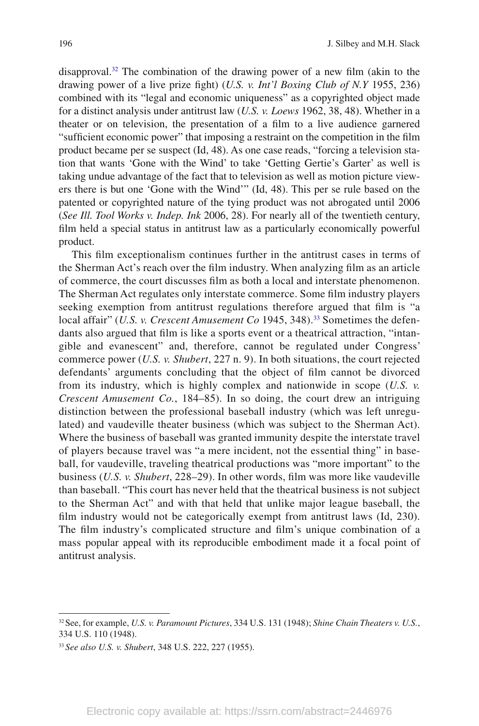disapproval.<sup>32</sup> The combination of the drawing power of a new film (akin to the drawing power of a live prize fight) (*U.S. v. Int'l Boxing Club of N.Y* 1955, 236) combined with its "legal and economic uniqueness" as a copyrighted object made for a distinct analysis under antitrust law ( *U.S. v. Loews* 1962, 38, 48). Whether in a theater or on television, the presentation of a film to a live audience garnered "sufficient economic power" that imposing a restraint on the competition in the film product became per se suspect (Id, 48). As one case reads, "forcing a television station that wants 'Gone with the Wind' to take 'Getting Gertie's Garter' as well is taking undue advantage of the fact that to television as well as motion picture viewers there is but one 'Gone with the Wind'" (Id, 48). This per se rule based on the patented or copyrighted nature of the tying product was not abrogated until 2006 ( *See Ill. Tool Works v. Indep. Ink* 2006, 28). For nearly all of the twentieth century, film held a special status in antitrust law as a particularly economically powerful product.

This film exceptionalism continues further in the antitrust cases in terms of the Sherman Act's reach over the film industry. When analyzing film as an article of commerce, the court discusses fi lm as both a local and interstate phenomenon. The Sherman Act regulates only interstate commerce. Some film industry players seeking exemption from antitrust regulations therefore argued that film is "a local affair" (*U.S. v. Crescent Amusement Co* 1945, 348).<sup>33</sup> Sometimes the defendants also argued that film is like a sports event or a theatrical attraction, "intangible and evanescent" and, therefore, cannot be regulated under Congress' commerce power ( *U.S. v. Shubert* , 227 n. 9). In both situations, the court rejected defendants' arguments concluding that the object of film cannot be divorced from its industry, which is highly complex and nationwide in scope  $(U.S. \nu$ . *Crescent Amusement Co.* , 184–85). In so doing, the court drew an intriguing distinction between the professional baseball industry (which was left unregulated) and vaudeville theater business (which was subject to the Sherman Act). Where the business of baseball was granted immunity despite the interstate travel of players because travel was "a mere incident, not the essential thing" in baseball, for vaudeville, traveling theatrical productions was "more important" to the business (*U.S. v. Shubert*, 228–29). In other words, film was more like vaudeville than baseball. "This court has never held that the theatrical business is not subject to the Sherman Act" and with that held that unlike major league baseball, the film industry would not be categorically exempt from antitrust laws  $(Id, 230)$ . The film industry's complicated structure and film's unique combination of a mass popular appeal with its reproducible embodiment made it a focal point of antitrust analysis.

 <sup>32</sup> See, for example, *U.S. v. Paramount Pictures* , 334 U.S. 131 (1948); *Shine Chain Theaters v. U.S.* , 334 U.S. 110 (1948).

<sup>33</sup>*See also U.S. v. Shubert* , 348 U.S. 222, 227 (1955).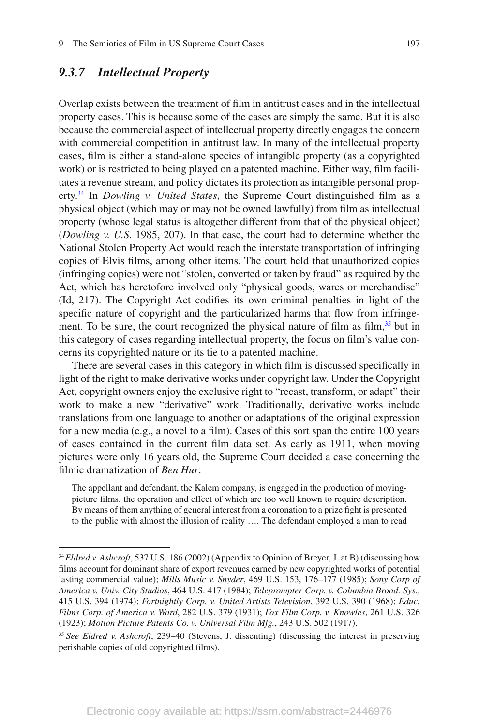#### *9.3.7 Intellectual Property*

Overlap exists between the treatment of film in antitrust cases and in the intellectual property cases. This is because some of the cases are simply the same. But it is also because the commercial aspect of intellectual property directly engages the concern with commercial competition in antitrust law. In many of the intellectual property cases, film is either a stand-alone species of intangible property (as a copyrighted work) or is restricted to being played on a patented machine. Either way, film facilitates a revenue stream, and policy dictates its protection as intangible personal property.<sup>34</sup> In *Dowling v. United States*, the Supreme Court distinguished film as a physical object (which may or may not be owned lawfully) from film as intellectual property (whose legal status is altogether different from that of the physical object) ( *Dowling v. U.S.* 1985, 207). In that case, the court had to determine whether the National Stolen Property Act would reach the interstate transportation of infringing copies of Elvis films, among other items. The court held that unauthorized copies (infringing copies) were not "stolen, converted or taken by fraud" as required by the Act, which has heretofore involved only "physical goods, wares or merchandise" (Id, 217). The Copyright Act codifies its own criminal penalties in light of the specific nature of copyright and the particularized harms that flow from infringement. To be sure, the court recognized the physical nature of film as film, $35$  but in this category of cases regarding intellectual property, the focus on film's value concerns its copyrighted nature or its tie to a patented machine.

There are several cases in this category in which film is discussed specifically in light of the right to make derivative works under copyright law. Under the Copyright Act, copyright owners enjoy the exclusive right to "recast, transform, or adapt" their work to make a new "derivative" work. Traditionally, derivative works include translations from one language to another or adaptations of the original expression for a new media (e.g., a novel to a film). Cases of this sort span the entire 100 years of cases contained in the current film data set. As early as  $1911$ , when moving pictures were only 16 years old, the Supreme Court decided a case concerning the filmic dramatization of *Ben Hur*:

 The appellant and defendant, the Kalem company, is engaged in the production of movingpicture films, the operation and effect of which are too well known to require description. By means of them anything of general interest from a coronation to a prize fight is presented to the public with almost the illusion of reality …. The defendant employed a man to read

<sup>&</sup>lt;sup>34</sup> Eldred v. Ashcroft, 537 U.S. 186 (2002) (Appendix to Opinion of Breyer, J. at B) (discussing how films account for dominant share of export revenues earned by new copyrighted works of potential lasting commercial value); *Mills Music v. Snyder* , 469 U.S. 153, 176–177 (1985); *Sony Corp of America v. Univ. City Studios* , 464 U.S. 417 (1984); *Teleprompter Corp. v. Columbia Broad. Sys.* , 415 U.S. 394 (1974); *Fortnightly Corp. v. United Artists Television* , 392 U.S. 390 (1968); *Educ. Films Corp. of America v. Ward* , 282 U.S. 379 (1931); *Fox Film Corp. v. Knowles* , 261 U.S. 326 (1923); *Motion Picture Patents Co. v. Universal Film Mfg.* , 243 U.S. 502 (1917).

<sup>35</sup>*See Eldred v. Ashcroft* , 239–40 (Stevens, J. dissenting) (discussing the interest in preserving perishable copies of old copyrighted films).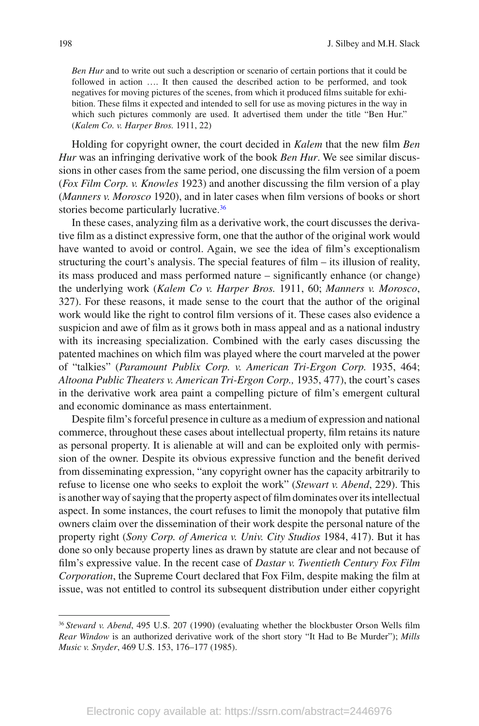*Ben Hur* and to write out such a description or scenario of certain portions that it could be followed in action …. It then caused the described action to be performed, and took negatives for moving pictures of the scenes, from which it produced films suitable for exhibition. These films it expected and intended to sell for use as moving pictures in the way in which such pictures commonly are used. It advertised them under the title "Ben Hur." ( *Kalem Co. v. Harper Bros.* 1911, 22)

Holding for copyright owner, the court decided in *Kalem* that the new film *Ben Hur* was an infringing derivative work of the book *Ben Hur*. We see similar discussions in other cases from the same period, one discussing the film version of a poem (*Fox Film Corp. v. Knowles* 1923) and another discussing the film version of a play (*Manners v. Morosco* 1920), and in later cases when film versions of books or short stories become particularly lucrative. 36

In these cases, analyzing film as a derivative work, the court discusses the derivative film as a distinct expressive form, one that the author of the original work would have wanted to avoid or control. Again, we see the idea of film's exceptionalism structuring the court's analysis. The special features of film  $-$  its illusion of reality, its mass produced and mass performed nature – significantly enhance (or change) the underlying work (Kalem Co v. Harper Bros. 1911, 60; Manners v. Morosco, 327). For these reasons, it made sense to the court that the author of the original work would like the right to control film versions of it. These cases also evidence a suspicion and awe of film as it grows both in mass appeal and as a national industry with its increasing specialization. Combined with the early cases discussing the patented machines on which film was played where the court marveled at the power of "talkies" ( *Paramount Publix Corp. v. American Tri-Ergon Corp.* 1935, 464; *Altoona Public Theaters v. American Tri-Ergon Corp.,* 1935, 477), the court's cases in the derivative work area paint a compelling picture of film's emergent cultural and economic dominance as mass entertainment.

Despite film's forceful presence in culture as a medium of expression and national commerce, throughout these cases about intellectual property, film retains its nature as personal property. It is alienable at will and can be exploited only with permission of the owner. Despite its obvious expressive function and the benefit derived from disseminating expression, "any copyright owner has the capacity arbitrarily to refuse to license one who seeks to exploit the work" (*Stewart v. Abend*, 229). This is another way of saying that the property aspect of film dominates over its intellectual aspect. In some instances, the court refuses to limit the monopoly that putative film owners claim over the dissemination of their work despite the personal nature of the property right ( *Sony Corp. of America v. Univ. City Studios* 1984, 417). But it has done so only because property lines as drawn by statute are clear and not because of film's expressive value. In the recent case of *Dastar v. Twentieth Century Fox Film Corporation*, the Supreme Court declared that Fox Film, despite making the film at issue, was not entitled to control its subsequent distribution under either copyright

<sup>&</sup>lt;sup>36</sup> Steward v. Abend, 495 U.S. 207 (1990) (evaluating whether the blockbuster Orson Wells film *Rear Window* is an authorized derivative work of the short story "It Had to Be Murder"); *Mills Music v. Snyder* , 469 U.S. 153, 176–177 (1985).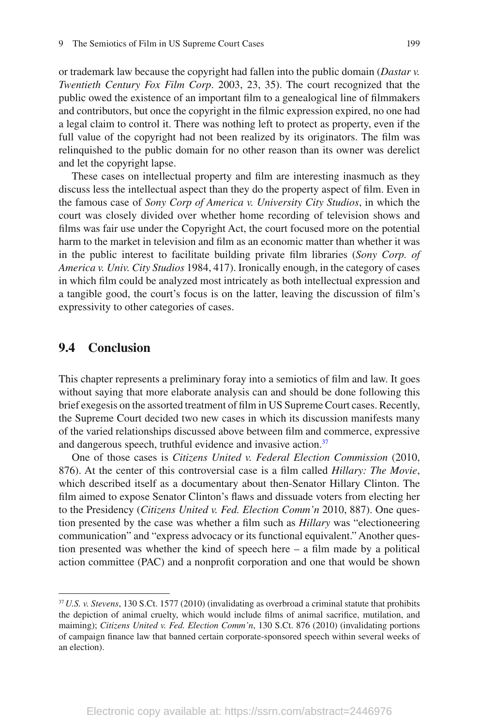or trademark law because the copyright had fallen into the public domain ( *Dastar v. Twentieth Century Fox Film Corp.* 2003, 23, 35). The court recognized that the public owed the existence of an important film to a genealogical line of filmmakers and contributors, but once the copyright in the filmic expression expired, no one had a legal claim to control it. There was nothing left to protect as property, even if the full value of the copyright had not been realized by its originators. The film was relinquished to the public domain for no other reason than its owner was derelict and let the copyright lapse.

These cases on intellectual property and film are interesting inasmuch as they discuss less the intellectual aspect than they do the property aspect of film. Even in the famous case of *Sony Corp of America v. University City Studios* , in which the court was closely divided over whether home recording of television shows and films was fair use under the Copyright Act, the court focused more on the potential harm to the market in television and film as an economic matter than whether it was in the public interest to facilitate building private film libraries (*Sony Corp. of America v. Univ. City Studios* 1984, 417). Ironically enough, in the category of cases in which film could be analyzed most intricately as both intellectual expression and a tangible good, the court's focus is on the latter, leaving the discussion of film's expressivity to other categories of cases.

#### **9.4 Conclusion**

This chapter represents a preliminary foray into a semiotics of film and law. It goes without saying that more elaborate analysis can and should be done following this brief exegesis on the assorted treatment of film in US Supreme Court cases. Recently, the Supreme Court decided two new cases in which its discussion manifests many of the varied relationships discussed above between film and commerce, expressive and dangerous speech, truthful evidence and invasive action.<sup>37</sup>

 One of those cases is *Citizens United v. Federal Election Commission* (2010, 876). At the center of this controversial case is a film called *Hillary: The Movie*, which described itself as a documentary about then-Senator Hillary Clinton. The film aimed to expose Senator Clinton's flaws and dissuade voters from electing her to the Presidency ( *Citizens United v. Fed. Election Comm'n* 2010, 887). One question presented by the case was whether a film such as *Hillary* was "electioneering communication" and "express advocacy or its functional equivalent." Another question presented was whether the kind of speech here  $-$  a film made by a political action committee (PAC) and a nonprofit corporation and one that would be shown

<sup>&</sup>lt;sup>37</sup> U.S. v. Stevens, 130 S.Ct. 1577 (2010) (invalidating as overbroad a criminal statute that prohibits the depiction of animal cruelty, which would include films of animal sacrifice, mutilation, and maiming); *Citizens United v. Fed. Election Comm'n* , 130 S.Ct. 876 (2010) (invalidating portions of campaign finance law that banned certain corporate-sponsored speech within several weeks of an election).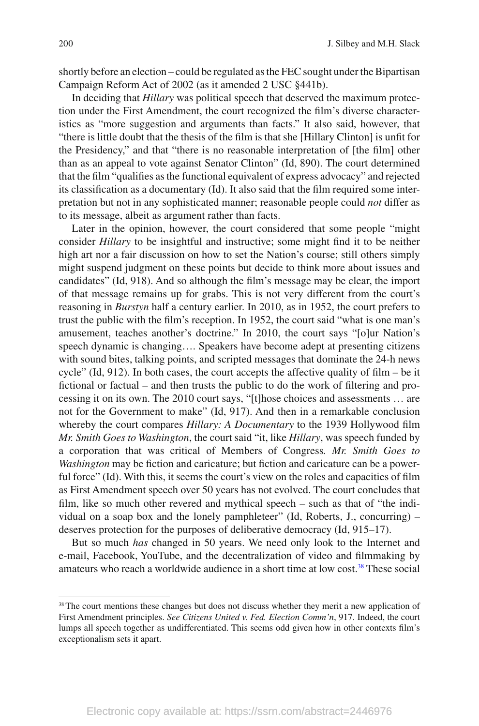shortly before an election – could be regulated as the FEC sought under the Bipartisan Campaign Reform Act of 2002 (as it amended 2 USC §441b).

 In deciding that *Hillary* was political speech that deserved the maximum protection under the First Amendment, the court recognized the film's diverse characteristics as "more suggestion and arguments than facts." It also said, however, that "there is little doubt that the thesis of the film is that she [Hillary Clinton] is unfit for the Presidency," and that "there is no reasonable interpretation of [the film] other than as an appeal to vote against Senator Clinton" (Id, 890). The court determined that the film "qualifies as the functional equivalent of express advocacy" and rejected its classification as a documentary  $Id$ ). It also said that the film required some interpretation but not in any sophisticated manner; reasonable people could *not* differ as to its message, albeit as argument rather than facts.

 Later in the opinion, however, the court considered that some people "might consider *Hillary* to be insightful and instructive; some might find it to be neither high art nor a fair discussion on how to set the Nation's course; still others simply might suspend judgment on these points but decide to think more about issues and candidates" (Id, 918). And so although the film's message may be clear, the import of that message remains up for grabs. This is not very different from the court's reasoning in *Burstyn* half a century earlier. In 2010, as in 1952, the court prefers to trust the public with the film's reception. In 1952, the court said "what is one man's amusement, teaches another's doctrine." In 2010, the court says "[o]ur Nation's speech dynamic is changing…. Speakers have become adept at presenting citizens with sound bites, talking points, and scripted messages that dominate the 24-h news cycle" (Id, 912). In both cases, the court accepts the affective quality of film – be it fictional or factual – and then trusts the public to do the work of filtering and processing it on its own. The 2010 court says, "[t]hose choices and assessments … are not for the Government to make" (Id, 917). And then in a remarkable conclusion whereby the court compares *Hillary: A Documentary* to the 1939 Hollywood film *Mr. Smith Goes to Washington* , the court said "it, like *Hillary* , was speech funded by a corporation that was critical of Members of Congress *. Mr. Smith Goes to Washington* may be fiction and caricature; but fiction and caricature can be a powerful force" (Id). With this, it seems the court's view on the roles and capacities of film as First Amendment speech over 50 years has not evolved. The court concludes that film, like so much other revered and mythical speech – such as that of "the individual on a soap box and the lonely pamphleteer" (Id, Roberts, J., concurring) – deserves protection for the purposes of deliberative democracy (Id, 915–17).

 But so much *has* changed in 50 years. We need only look to the Internet and e-mail, Facebook, YouTube, and the decentralization of video and filmmaking by amateurs who reach a worldwide audience in a short time at low cost.<sup>38</sup> These social

<sup>&</sup>lt;sup>38</sup> The court mentions these changes but does not discuss whether they merit a new application of First Amendment principles. *See Citizens United v. Fed. Election Comm'n* , 917. Indeed, the court lumps all speech together as undifferentiated. This seems odd given how in other contexts film's exceptionalism sets it apart.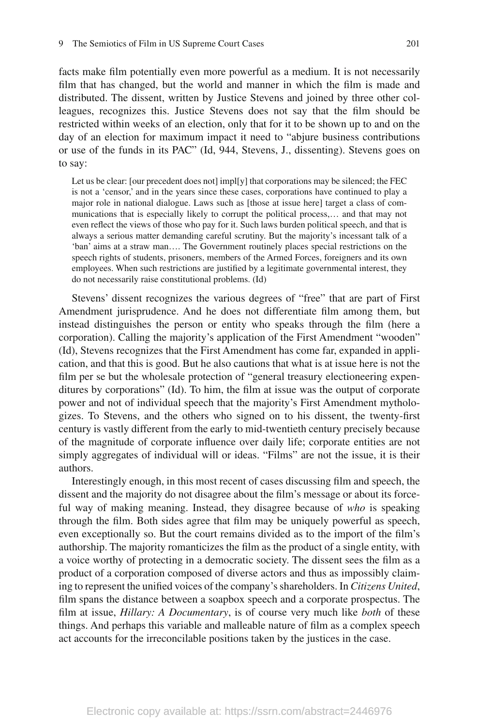facts make film potentially even more powerful as a medium. It is not necessarily film that has changed, but the world and manner in which the film is made and distributed. The dissent, written by Justice Stevens and joined by three other colleagues, recognizes this. Justice Stevens does not say that the film should be restricted within weeks of an election, only that for it to be shown up to and on the day of an election for maximum impact it need to "abjure business contributions or use of the funds in its PAC" (Id, 944, Stevens, J., dissenting). Stevens goes on to say:

Let us be clear: [our precedent does not] impl[y] that corporations may be silenced; the FEC is not a 'censor,' and in the years since these cases, corporations have continued to play a major role in national dialogue. Laws such as [those at issue here] target a class of communications that is especially likely to corrupt the political process,… and that may not even reflect the views of those who pay for it. Such laws burden political speech, and that is always a serious matter demanding careful scrutiny. But the majority's incessant talk of a 'ban' aims at a straw man…. The Government routinely places special restrictions on the speech rights of students, prisoners, members of the Armed Forces, foreigners and its own employees. When such restrictions are justified by a legitimate governmental interest, they do not necessarily raise constitutional problems. (Id)

Stevens' dissent recognizes the various degrees of "free" that are part of First Amendment jurisprudence. And he does not differentiate film among them, but instead distinguishes the person or entity who speaks through the film (here a corporation). Calling the majority's application of the First Amendment "wooden" (Id), Stevens recognizes that the First Amendment has come far, expanded in application, and that this is good. But he also cautions that what is at issue here is not the film per se but the wholesale protection of "general treasury electioneering expenditures by corporations"  $(Id)$ . To him, the film at issue was the output of corporate power and not of individual speech that the majority's First Amendment mythologizes. To Stevens, and the others who signed on to his dissent, the twenty-first century is vastly different from the early to mid-twentieth century precisely because of the magnitude of corporate influence over daily life; corporate entities are not simply aggregates of individual will or ideas. "Films" are not the issue, it is their authors.

Interestingly enough, in this most recent of cases discussing film and speech, the dissent and the majority do not disagree about the film's message or about its forceful way of making meaning. Instead, they disagree because of *who* is speaking through the film. Both sides agree that film may be uniquely powerful as speech, even exceptionally so. But the court remains divided as to the import of the film's authorship. The majority romanticizes the film as the product of a single entity, with a voice worthy of protecting in a democratic society. The dissent sees the film as a product of a corporation composed of diverse actors and thus as impossibly claiming to represent the unified voices of the company's shareholders. In *Citizens United*, film spans the distance between a soapbox speech and a corporate prospectus. The film at issue, *Hillary: A Documentary*, is of course very much like *both* of these things. And perhaps this variable and malleable nature of film as a complex speech act accounts for the irreconcilable positions taken by the justices in the case.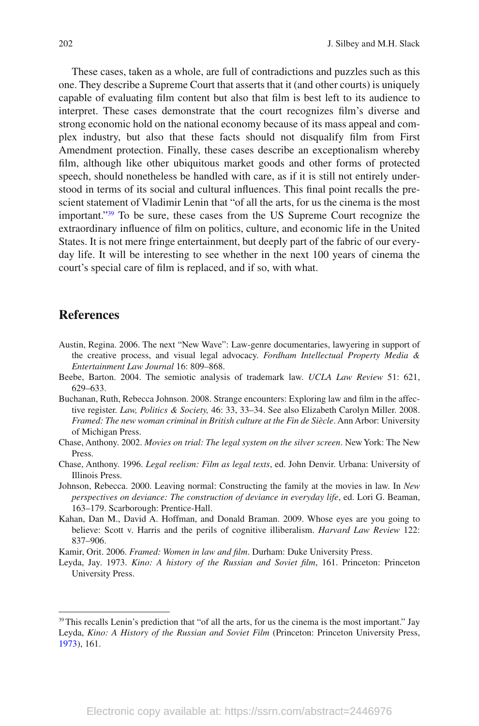<span id="page-25-0"></span> These cases, taken as a whole, are full of contradictions and puzzles such as this one. They describe a Supreme Court that asserts that it (and other courts) is uniquely capable of evaluating film content but also that film is best left to its audience to interpret. These cases demonstrate that the court recognizes film's diverse and strong economic hold on the national economy because of its mass appeal and complex industry, but also that these facts should not disqualify film from First Amendment protection. Finally, these cases describe an exceptionalism whereby film, although like other ubiquitous market goods and other forms of protected speech, should nonetheless be handled with care, as if it is still not entirely understood in terms of its social and cultural influences. This final point recalls the prescient statement of Vladimir Lenin that "of all the arts, for us the cinema is the most important." 39 To be sure, these cases from the US Supreme Court recognize the extraordinary influence of film on politics, culture, and economic life in the United States. It is not mere fringe entertainment, but deeply part of the fabric of our everyday life. It will be interesting to see whether in the next 100 years of cinema the court's special care of film is replaced, and if so, with what.

#### **References**

- Austin, Regina. 2006. The next "New Wave": Law-genre documentaries, lawyering in support of the creative process, and visual legal advocacy. *Fordham Intellectual Property Media & Entertainment Law Journal* 16: 809–868.
- Beebe, Barton. 2004. The semiotic analysis of trademark law. *UCLA Law Review* 51: 621, 629–633.
- Buchanan, Ruth, Rebecca Johnson. 2008. Strange encounters: Exploring law and film in the affective register. *Law, Politics & Society,* 46: 33, 33–34. See also Elizabeth Carolyn Miller. 2008. *Framed: The new woman criminal in British culture at the Fin de Siècle* . Ann Arbor: University of Michigan Press.
- Chase, Anthony. 2002. *Movies on trial: The legal system on the silver screen* . New York: The New Press.
- Chase, Anthony. 1996. *Legal reelism: Film as legal texts* , ed. John Denvir. Urbana: University of Illinois Press.
- Johnson, Rebecca. 2000. Leaving normal: Constructing the family at the movies in law. In *New perspectives on deviance: The construction of deviance in everyday life* , ed. Lori G. Beaman, 163–179. Scarborough: Prentice-Hall.
- Kahan, Dan M., David A. Hoffman, and Donald Braman. 2009. Whose eyes are you going to believe: Scott v. Harris and the perils of cognitive illiberalism. *Harvard Law Review* 122: 837–906.
- Kamir, Orit. 2006. *Framed: Women in law and film*. Durham: Duke University Press.
- Leyda, Jay. 1973. *Kino: A history of the Russian and Soviet film*, 161. Princeton: Princeton University Press.

<sup>&</sup>lt;sup>39</sup> This recalls Lenin's prediction that "of all the arts, for us the cinema is the most important." Jay Leyda , *Kino: A History of the Russian and Soviet Film* (Princeton: Princeton University Press, 1973), 161.